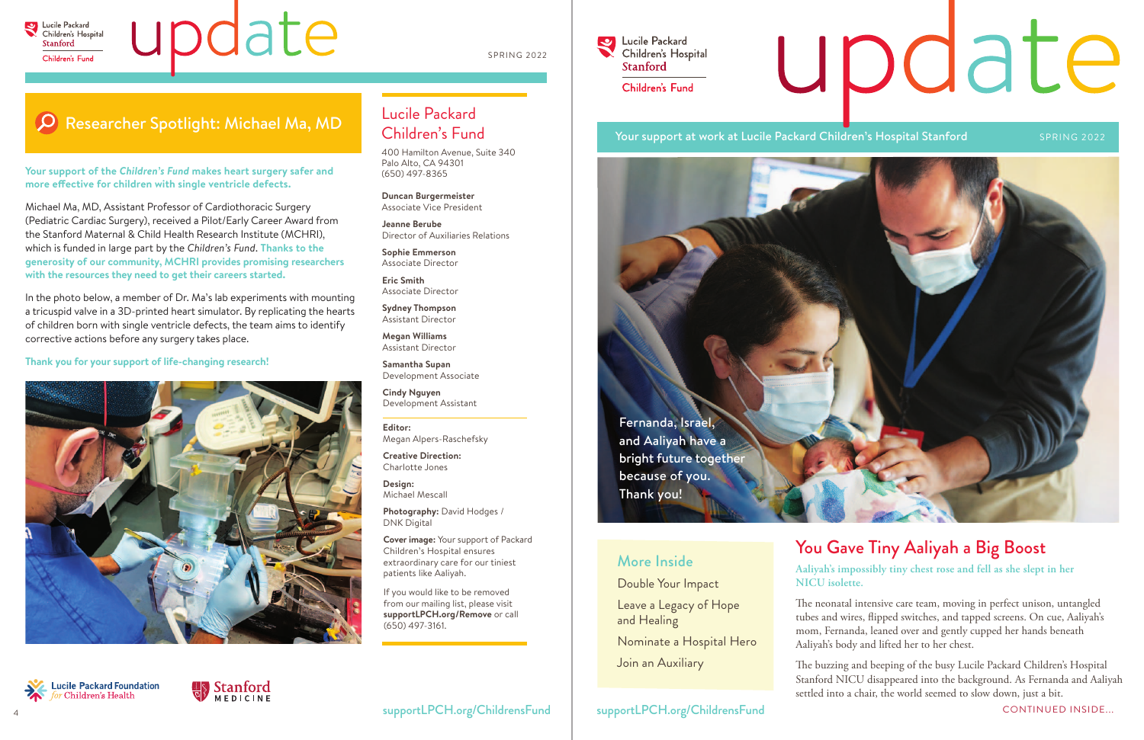

# update

The neonatal intensive care team, moving in perfect unison, untangled tubes and wires, flipped switches, and tapped screens. On cue, Aaliyah's mom, Fernanda, leaned over and gently cupped her hands beneath Aaliyah's body and lifted her to her chest.

The buzzing and beeping of the busy Lucile Packard Children's Hospital Stanford NICU disappeared into the background. As Fernanda and Aaliyah settled into a chair, the world seemed to slow down, just a bit.

米

**Lucile Packard Foundation**<br>for Children's Health

# update



#### **Aaliyah's impossibly tiny chest rose and fell as she slept in her NICU isolette.** You Gave Tiny Aaliyah a Big Boost More Inside

Double Your Impact

Leave a Legacy of Hope and Healing

Nominate a Hospital Hero

Join an Auxiliary

#### Lucile Packard Children's Fund

400 Hamilton Avenue, Suite 340 Palo Alto, CA 94301 (650) 497-8365

**Your support of the** *Children's Fund* **makes heart surgery safer and**  more effective for children with single ventricle defects.

> **Duncan Burgermeister** Associate Vice President

**Jeanne Berube** Director of Auxiliaries Relations

**Sophie Emmerson** Associate Director

**Eric Smith** Associate Director

**Sydney Thompson** Assistant Director

**Megan Williams** Assistant Director

**Samantha Supan** Development Associate

**Cindy Nguyen** Development Assistant

**Editor:** Megan Alpers-Raschefsky

**Creative Direction:** Charlotte Jones

**Design:** Michael Mescall

**Photography:** David Hodges / DNK Digital

**Cover image:** Your support of Packard Children's Hospital ensures extraordinary care for our tiniest patients like Aaliyah.

If you would like to be removed from our mailing list, please visit **supportLPCH.org/Remove** or call (650) 497-3161.

**Lucile Packard**  $\blacktriangledown$ Children's Hospital **Stanford** Children's Fund

#### Your support at work at Lucile Packard Children's Hospital Stanford SPRING 2022

CONTINUED INSIDE...

Fernanda, Israel, and Aaliyah have a bright future together because of you. Thank you!

Michael Ma, MD, Assistant Professor of Cardiothoracic Surgery (Pediatric Cardiac Surgery), received a Pilot/Early Career Award from the Stanford Maternal & Child Health Research Institute (MCHRI), which is funded in large part by the *Children's Fund*. **Thanks to the generosity of our community, MCHRI provides promising researchers with the resources they need to get their careers started.** 

In the photo below, a member of Dr. Ma's lab experiments with mounting a tricuspid valve in a 3D-printed heart simulator. By replicating the hearts of children born with single ventricle defects, the team aims to identify corrective actions before any surgery takes place.

**Thank you for your support of life-changing research!**



Stanford

SPRING 2022

#### Researcher Spotlight: Michael Ma, MD